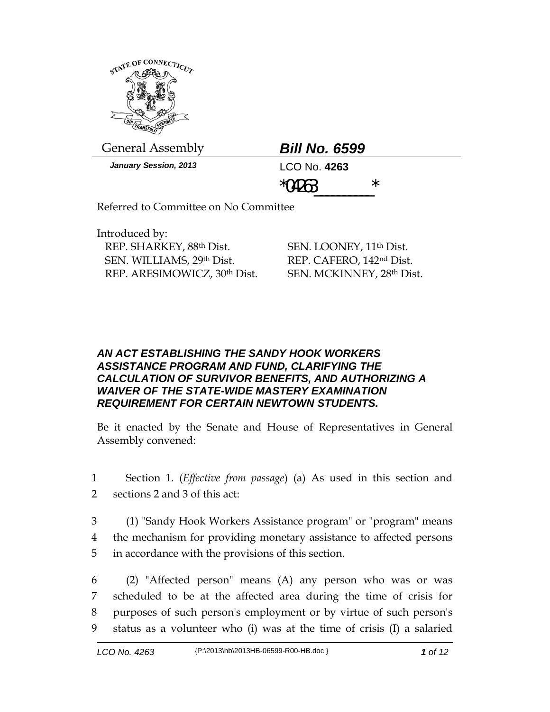

General Assembly *Bill No. 6599*

*January Session, 2013* LCO No. **4263**

 $*$  04263

Referred to Committee on No Committee

Introduced by: REP. SHARKEY, 88th Dist. SEN. WILLIAMS, 29th Dist. REP. ARESIMOWICZ, 30th Dist.

SEN. LOONEY, 11th Dist. REP. CAFERO, 142nd Dist. SEN. MCKINNEY, 28th Dist.

## *AN ACT ESTABLISHING THE SANDY HOOK WORKERS ASSISTANCE PROGRAM AND FUND, CLARIFYING THE CALCULATION OF SURVIVOR BENEFITS, AND AUTHORIZING A WAIVER OF THE STATE-WIDE MASTERY EXAMINATION REQUIREMENT FOR CERTAIN NEWTOWN STUDENTS.*

Be it enacted by the Senate and House of Representatives in General Assembly convened:

- 1 Section 1. (*Effective from passage*) (a) As used in this section and 2 sections 2 and 3 of this act:
- 3 (1) "Sandy Hook Workers Assistance program" or "program" means 4 the mechanism for providing monetary assistance to affected persons 5 in accordance with the provisions of this section.
- 6 (2) "Affected person" means (A) any person who was or was 7 scheduled to be at the affected area during the time of crisis for 8 purposes of such person's employment or by virtue of such person's 9 status as a volunteer who (i) was at the time of crisis (I) a salaried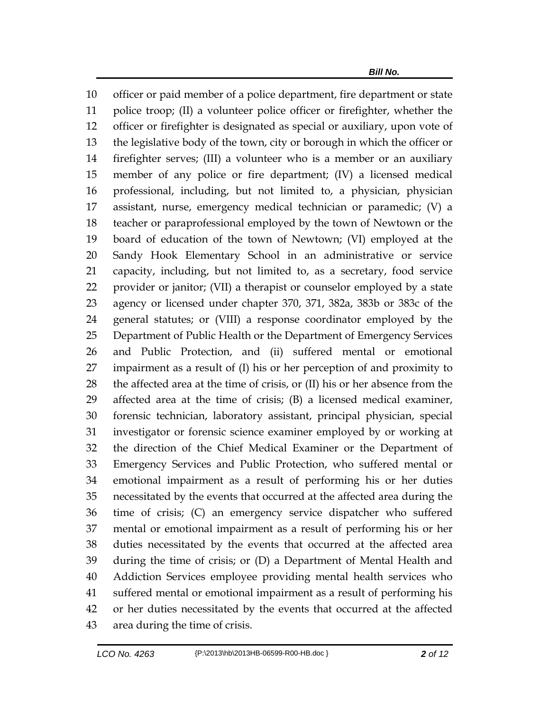officer or paid member of a police department, fire department or state police troop; (II) a volunteer police officer or firefighter, whether the officer or firefighter is designated as special or auxiliary, upon vote of the legislative body of the town, city or borough in which the officer or firefighter serves; (III) a volunteer who is a member or an auxiliary member of any police or fire department; (IV) a licensed medical professional, including, but not limited to, a physician, physician assistant, nurse, emergency medical technician or paramedic; (V) a teacher or paraprofessional employed by the town of Newtown or the board of education of the town of Newtown; (VI) employed at the Sandy Hook Elementary School in an administrative or service capacity, including, but not limited to, as a secretary, food service provider or janitor; (VII) a therapist or counselor employed by a state agency or licensed under chapter 370, 371, 382a, 383b or 383c of the general statutes; or (VIII) a response coordinator employed by the Department of Public Health or the Department of Emergency Services and Public Protection, and (ii) suffered mental or emotional impairment as a result of (I) his or her perception of and proximity to the affected area at the time of crisis, or (II) his or her absence from the affected area at the time of crisis; (B) a licensed medical examiner, forensic technician, laboratory assistant, principal physician, special investigator or forensic science examiner employed by or working at the direction of the Chief Medical Examiner or the Department of Emergency Services and Public Protection, who suffered mental or emotional impairment as a result of performing his or her duties necessitated by the events that occurred at the affected area during the time of crisis; (C) an emergency service dispatcher who suffered mental or emotional impairment as a result of performing his or her duties necessitated by the events that occurred at the affected area during the time of crisis; or (D) a Department of Mental Health and Addiction Services employee providing mental health services who suffered mental or emotional impairment as a result of performing his or her duties necessitated by the events that occurred at the affected area during the time of crisis.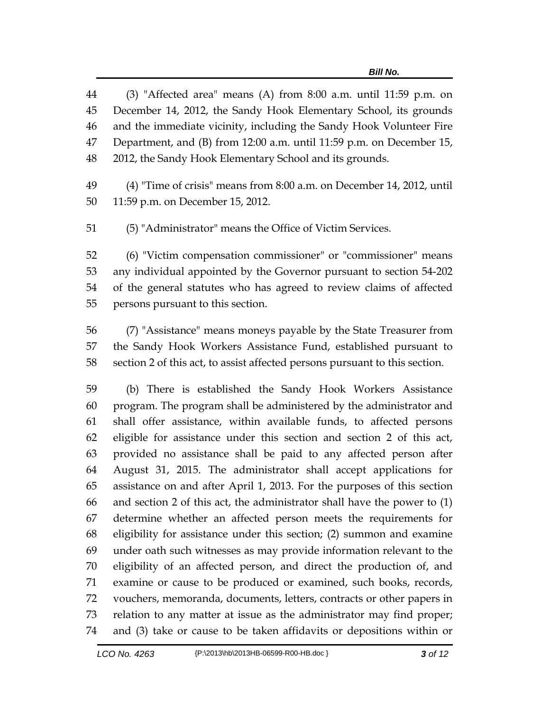(3) "Affected area" means (A) from 8:00 a.m. until 11:59 p.m. on December 14, 2012, the Sandy Hook Elementary School, its grounds and the immediate vicinity, including the Sandy Hook Volunteer Fire Department, and (B) from 12:00 a.m. until 11:59 p.m. on December 15, 2012, the Sandy Hook Elementary School and its grounds.

 (4) "Time of crisis" means from 8:00 a.m. on December 14, 2012, until 11:59 p.m. on December 15, 2012.

(5) "Administrator" means the Office of Victim Services.

 (6) "Victim compensation commissioner" or "commissioner" means any individual appointed by the Governor pursuant to section 54-202 of the general statutes who has agreed to review claims of affected persons pursuant to this section.

 (7) "Assistance" means moneys payable by the State Treasurer from the Sandy Hook Workers Assistance Fund, established pursuant to section 2 of this act, to assist affected persons pursuant to this section.

 (b) There is established the Sandy Hook Workers Assistance program. The program shall be administered by the administrator and shall offer assistance, within available funds, to affected persons eligible for assistance under this section and section 2 of this act, provided no assistance shall be paid to any affected person after August 31, 2015. The administrator shall accept applications for assistance on and after April 1, 2013. For the purposes of this section and section 2 of this act, the administrator shall have the power to (1) determine whether an affected person meets the requirements for eligibility for assistance under this section; (2) summon and examine under oath such witnesses as may provide information relevant to the eligibility of an affected person, and direct the production of, and examine or cause to be produced or examined, such books, records, vouchers, memoranda, documents, letters, contracts or other papers in relation to any matter at issue as the administrator may find proper; and (3) take or cause to be taken affidavits or depositions within or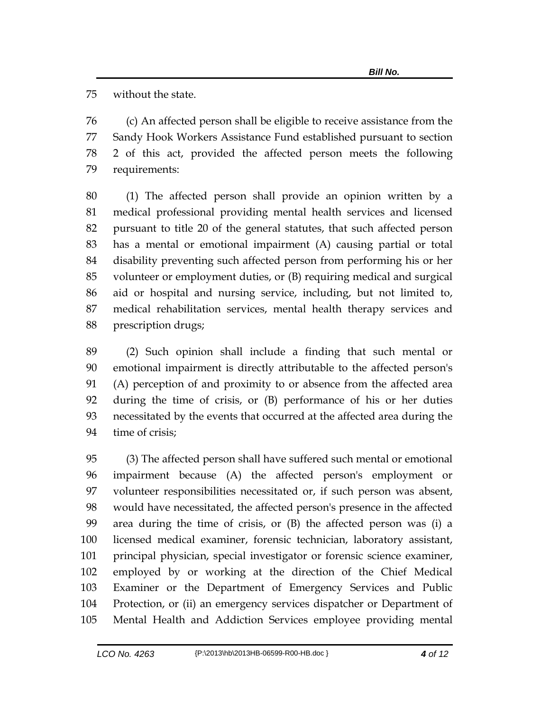without the state.

 (c) An affected person shall be eligible to receive assistance from the Sandy Hook Workers Assistance Fund established pursuant to section 2 of this act, provided the affected person meets the following requirements:

 (1) The affected person shall provide an opinion written by a medical professional providing mental health services and licensed pursuant to title 20 of the general statutes, that such affected person has a mental or emotional impairment (A) causing partial or total disability preventing such affected person from performing his or her volunteer or employment duties, or (B) requiring medical and surgical aid or hospital and nursing service, including, but not limited to, medical rehabilitation services, mental health therapy services and prescription drugs;

 (2) Such opinion shall include a finding that such mental or emotional impairment is directly attributable to the affected person's (A) perception of and proximity to or absence from the affected area during the time of crisis, or (B) performance of his or her duties necessitated by the events that occurred at the affected area during the time of crisis;

 (3) The affected person shall have suffered such mental or emotional impairment because (A) the affected person's employment or volunteer responsibilities necessitated or, if such person was absent, would have necessitated, the affected person's presence in the affected area during the time of crisis, or (B) the affected person was (i) a licensed medical examiner, forensic technician, laboratory assistant, principal physician, special investigator or forensic science examiner, employed by or working at the direction of the Chief Medical Examiner or the Department of Emergency Services and Public Protection, or (ii) an emergency services dispatcher or Department of Mental Health and Addiction Services employee providing mental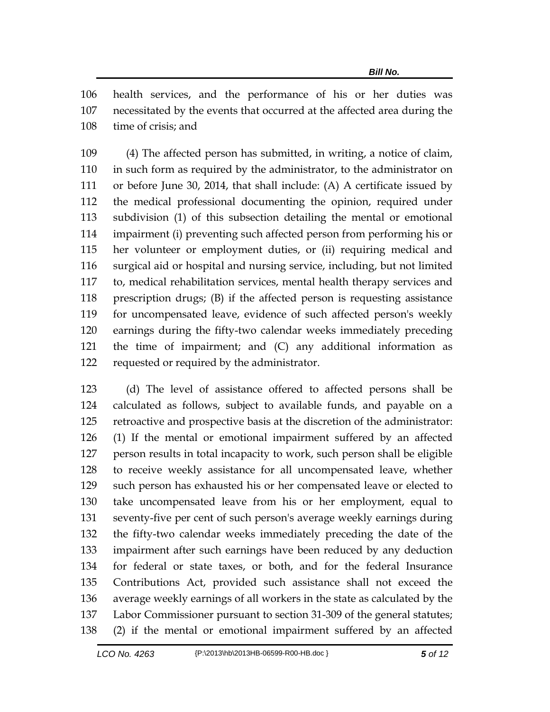health services, and the performance of his or her duties was necessitated by the events that occurred at the affected area during the time of crisis; and

 (4) The affected person has submitted, in writing, a notice of claim, in such form as required by the administrator, to the administrator on or before June 30, 2014, that shall include: (A) A certificate issued by the medical professional documenting the opinion, required under subdivision (1) of this subsection detailing the mental or emotional impairment (i) preventing such affected person from performing his or her volunteer or employment duties, or (ii) requiring medical and surgical aid or hospital and nursing service, including, but not limited to, medical rehabilitation services, mental health therapy services and prescription drugs; (B) if the affected person is requesting assistance for uncompensated leave, evidence of such affected person's weekly earnings during the fifty-two calendar weeks immediately preceding the time of impairment; and (C) any additional information as requested or required by the administrator.

 (d) The level of assistance offered to affected persons shall be calculated as follows, subject to available funds, and payable on a retroactive and prospective basis at the discretion of the administrator: (1) If the mental or emotional impairment suffered by an affected person results in total incapacity to work, such person shall be eligible to receive weekly assistance for all uncompensated leave, whether such person has exhausted his or her compensated leave or elected to take uncompensated leave from his or her employment, equal to seventy-five per cent of such person's average weekly earnings during the fifty-two calendar weeks immediately preceding the date of the impairment after such earnings have been reduced by any deduction for federal or state taxes, or both, and for the federal Insurance Contributions Act, provided such assistance shall not exceed the average weekly earnings of all workers in the state as calculated by the Labor Commissioner pursuant to section 31-309 of the general statutes; (2) if the mental or emotional impairment suffered by an affected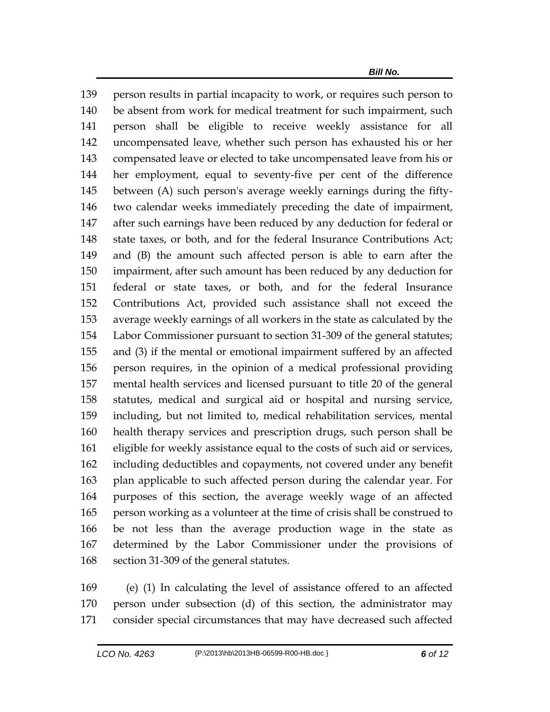person results in partial incapacity to work, or requires such person to be absent from work for medical treatment for such impairment, such person shall be eligible to receive weekly assistance for all uncompensated leave, whether such person has exhausted his or her compensated leave or elected to take uncompensated leave from his or her employment, equal to seventy-five per cent of the difference between (A) such person's average weekly earnings during the fifty- two calendar weeks immediately preceding the date of impairment, after such earnings have been reduced by any deduction for federal or state taxes, or both, and for the federal Insurance Contributions Act; and (B) the amount such affected person is able to earn after the impairment, after such amount has been reduced by any deduction for federal or state taxes, or both, and for the federal Insurance Contributions Act, provided such assistance shall not exceed the average weekly earnings of all workers in the state as calculated by the Labor Commissioner pursuant to section 31-309 of the general statutes; and (3) if the mental or emotional impairment suffered by an affected person requires, in the opinion of a medical professional providing mental health services and licensed pursuant to title 20 of the general statutes, medical and surgical aid or hospital and nursing service, including, but not limited to, medical rehabilitation services, mental health therapy services and prescription drugs, such person shall be eligible for weekly assistance equal to the costs of such aid or services, including deductibles and copayments, not covered under any benefit plan applicable to such affected person during the calendar year. For purposes of this section, the average weekly wage of an affected person working as a volunteer at the time of crisis shall be construed to be not less than the average production wage in the state as determined by the Labor Commissioner under the provisions of section 31-309 of the general statutes.

 (e) (1) In calculating the level of assistance offered to an affected person under subsection (d) of this section, the administrator may consider special circumstances that may have decreased such affected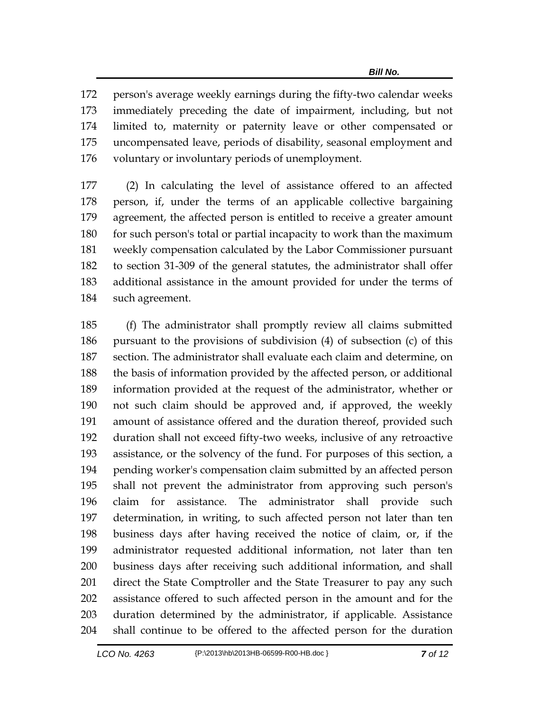person's average weekly earnings during the fifty-two calendar weeks immediately preceding the date of impairment, including, but not limited to, maternity or paternity leave or other compensated or uncompensated leave, periods of disability, seasonal employment and voluntary or involuntary periods of unemployment.

 (2) In calculating the level of assistance offered to an affected person, if, under the terms of an applicable collective bargaining agreement, the affected person is entitled to receive a greater amount for such person's total or partial incapacity to work than the maximum weekly compensation calculated by the Labor Commissioner pursuant to section 31-309 of the general statutes, the administrator shall offer additional assistance in the amount provided for under the terms of such agreement.

 (f) The administrator shall promptly review all claims submitted pursuant to the provisions of subdivision (4) of subsection (c) of this section. The administrator shall evaluate each claim and determine, on the basis of information provided by the affected person, or additional information provided at the request of the administrator, whether or not such claim should be approved and, if approved, the weekly amount of assistance offered and the duration thereof, provided such duration shall not exceed fifty-two weeks, inclusive of any retroactive assistance, or the solvency of the fund. For purposes of this section, a pending worker's compensation claim submitted by an affected person shall not prevent the administrator from approving such person's claim for assistance. The administrator shall provide such determination, in writing, to such affected person not later than ten business days after having received the notice of claim, or, if the administrator requested additional information, not later than ten business days after receiving such additional information, and shall direct the State Comptroller and the State Treasurer to pay any such assistance offered to such affected person in the amount and for the duration determined by the administrator, if applicable. Assistance shall continue to be offered to the affected person for the duration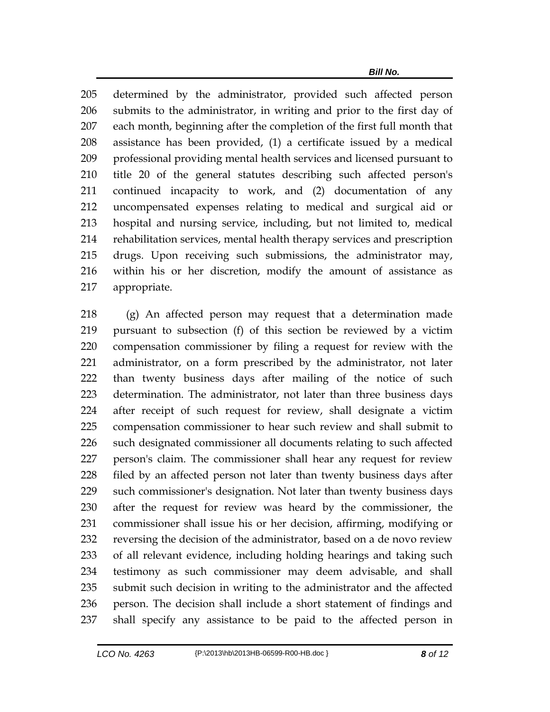determined by the administrator, provided such affected person submits to the administrator, in writing and prior to the first day of each month, beginning after the completion of the first full month that assistance has been provided, (1) a certificate issued by a medical professional providing mental health services and licensed pursuant to title 20 of the general statutes describing such affected person's continued incapacity to work, and (2) documentation of any uncompensated expenses relating to medical and surgical aid or hospital and nursing service, including, but not limited to, medical rehabilitation services, mental health therapy services and prescription drugs. Upon receiving such submissions, the administrator may, within his or her discretion, modify the amount of assistance as appropriate.

 (g) An affected person may request that a determination made pursuant to subsection (f) of this section be reviewed by a victim compensation commissioner by filing a request for review with the administrator, on a form prescribed by the administrator, not later than twenty business days after mailing of the notice of such determination. The administrator, not later than three business days after receipt of such request for review, shall designate a victim compensation commissioner to hear such review and shall submit to such designated commissioner all documents relating to such affected person's claim. The commissioner shall hear any request for review 228 filed by an affected person not later than twenty business days after such commissioner's designation. Not later than twenty business days after the request for review was heard by the commissioner, the commissioner shall issue his or her decision, affirming, modifying or reversing the decision of the administrator, based on a de novo review of all relevant evidence, including holding hearings and taking such testimony as such commissioner may deem advisable, and shall submit such decision in writing to the administrator and the affected person. The decision shall include a short statement of findings and shall specify any assistance to be paid to the affected person in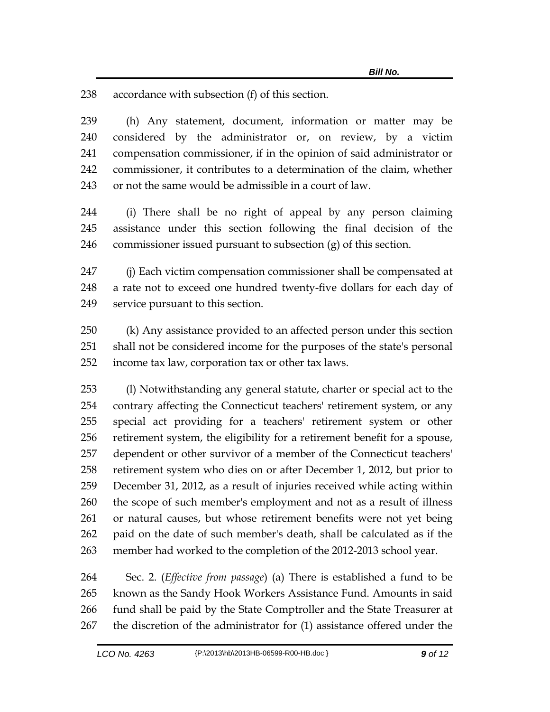accordance with subsection (f) of this section.

 (h) Any statement, document, information or matter may be considered by the administrator or, on review, by a victim compensation commissioner, if in the opinion of said administrator or commissioner, it contributes to a determination of the claim, whether or not the same would be admissible in a court of law.

 (i) There shall be no right of appeal by any person claiming assistance under this section following the final decision of the 246 commissioner issued pursuant to subsection  $(g)$  of this section.

 (j) Each victim compensation commissioner shall be compensated at a rate not to exceed one hundred twenty-five dollars for each day of service pursuant to this section.

 (k) Any assistance provided to an affected person under this section shall not be considered income for the purposes of the state's personal income tax law, corporation tax or other tax laws.

 (l) Notwithstanding any general statute, charter or special act to the contrary affecting the Connecticut teachers' retirement system, or any special act providing for a teachers' retirement system or other retirement system, the eligibility for a retirement benefit for a spouse, dependent or other survivor of a member of the Connecticut teachers' retirement system who dies on or after December 1, 2012, but prior to December 31, 2012, as a result of injuries received while acting within the scope of such member's employment and not as a result of illness or natural causes, but whose retirement benefits were not yet being paid on the date of such member's death, shall be calculated as if the member had worked to the completion of the 2012-2013 school year.

 Sec. 2. (*Effective from passage*) (a) There is established a fund to be known as the Sandy Hook Workers Assistance Fund. Amounts in said fund shall be paid by the State Comptroller and the State Treasurer at the discretion of the administrator for (1) assistance offered under the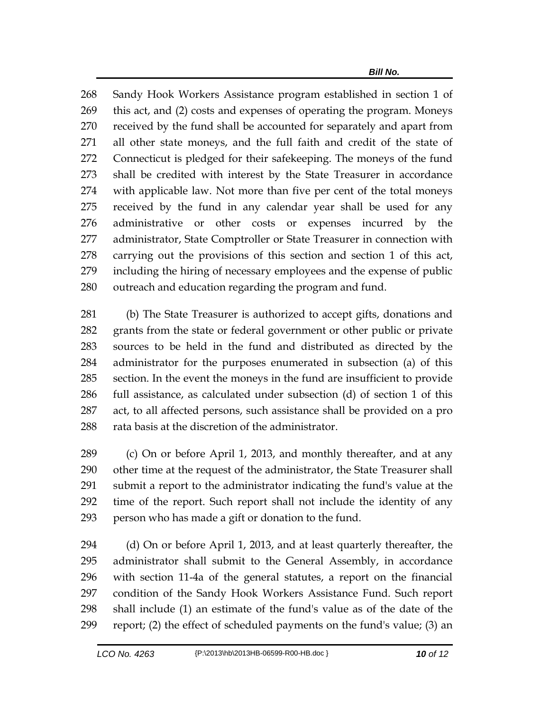Sandy Hook Workers Assistance program established in section 1 of this act, and (2) costs and expenses of operating the program. Moneys received by the fund shall be accounted for separately and apart from all other state moneys, and the full faith and credit of the state of Connecticut is pledged for their safekeeping. The moneys of the fund shall be credited with interest by the State Treasurer in accordance with applicable law. Not more than five per cent of the total moneys received by the fund in any calendar year shall be used for any administrative or other costs or expenses incurred by the administrator, State Comptroller or State Treasurer in connection with carrying out the provisions of this section and section 1 of this act, including the hiring of necessary employees and the expense of public outreach and education regarding the program and fund.

 (b) The State Treasurer is authorized to accept gifts, donations and grants from the state or federal government or other public or private sources to be held in the fund and distributed as directed by the administrator for the purposes enumerated in subsection (a) of this section. In the event the moneys in the fund are insufficient to provide full assistance, as calculated under subsection (d) of section 1 of this act, to all affected persons, such assistance shall be provided on a pro 288 rata basis at the discretion of the administrator.

 (c) On or before April 1, 2013, and monthly thereafter, and at any other time at the request of the administrator, the State Treasurer shall submit a report to the administrator indicating the fund's value at the time of the report. Such report shall not include the identity of any person who has made a gift or donation to the fund.

 (d) On or before April 1, 2013, and at least quarterly thereafter, the administrator shall submit to the General Assembly, in accordance with section 11-4a of the general statutes, a report on the financial condition of the Sandy Hook Workers Assistance Fund. Such report shall include (1) an estimate of the fund's value as of the date of the report; (2) the effect of scheduled payments on the fund's value; (3) an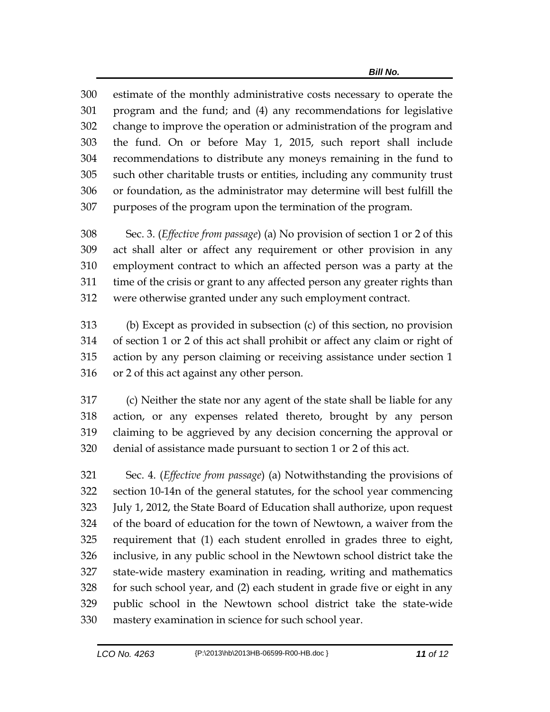estimate of the monthly administrative costs necessary to operate the program and the fund; and (4) any recommendations for legislative change to improve the operation or administration of the program and the fund. On or before May 1, 2015, such report shall include recommendations to distribute any moneys remaining in the fund to such other charitable trusts or entities, including any community trust or foundation, as the administrator may determine will best fulfill the purposes of the program upon the termination of the program.

 Sec. 3. (*Effective from passage*) (a) No provision of section 1 or 2 of this act shall alter or affect any requirement or other provision in any employment contract to which an affected person was a party at the time of the crisis or grant to any affected person any greater rights than were otherwise granted under any such employment contract.

 (b) Except as provided in subsection (c) of this section, no provision of section 1 or 2 of this act shall prohibit or affect any claim or right of action by any person claiming or receiving assistance under section 1 or 2 of this act against any other person.

 (c) Neither the state nor any agent of the state shall be liable for any action, or any expenses related thereto, brought by any person claiming to be aggrieved by any decision concerning the approval or denial of assistance made pursuant to section 1 or 2 of this act.

 Sec. 4. (*Effective from passage*) (a) Notwithstanding the provisions of section 10-14n of the general statutes, for the school year commencing July 1, 2012, the State Board of Education shall authorize, upon request of the board of education for the town of Newtown, a waiver from the requirement that (1) each student enrolled in grades three to eight, inclusive, in any public school in the Newtown school district take the state-wide mastery examination in reading, writing and mathematics for such school year, and (2) each student in grade five or eight in any public school in the Newtown school district take the state-wide mastery examination in science for such school year.